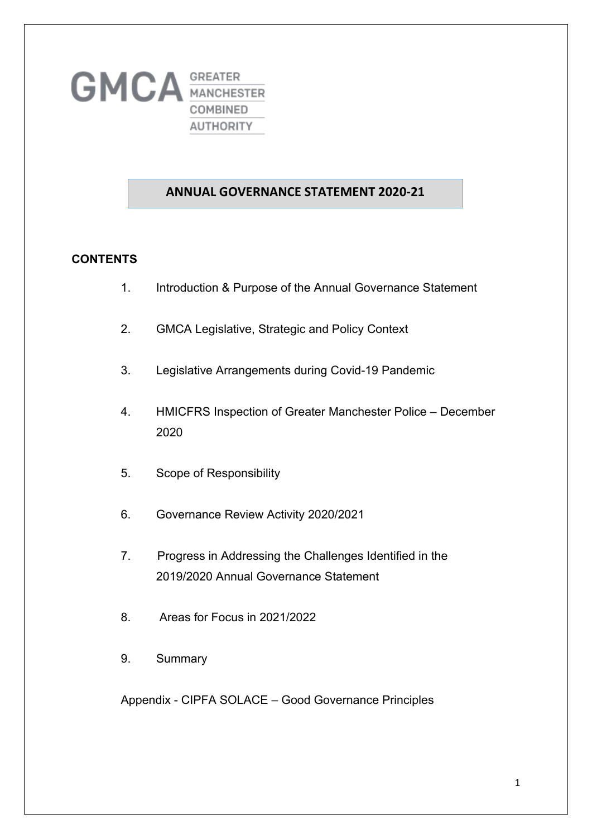

#### **ANNUAL GOVERNANCE STATEMENT 2020-21**

#### **CONTENTS**

- 1. Introduction & Purpose of the Annual Governance Statement
- 2. GMCA Legislative, Strategic and Policy Context
- 3. Legislative Arrangements during Covid-19 Pandemic
- 4. HMICFRS Inspection of Greater Manchester Police December 2020
- 5. Scope of Responsibility
- 6. Governance Review Activity 2020/2021
- 7. Progress in Addressing the Challenges Identified in the 2019/2020 Annual Governance Statement
- 8. Areas for Focus in 2021/2022
- 9. Summary

Appendix - CIPFA SOLACE – Good Governance Principles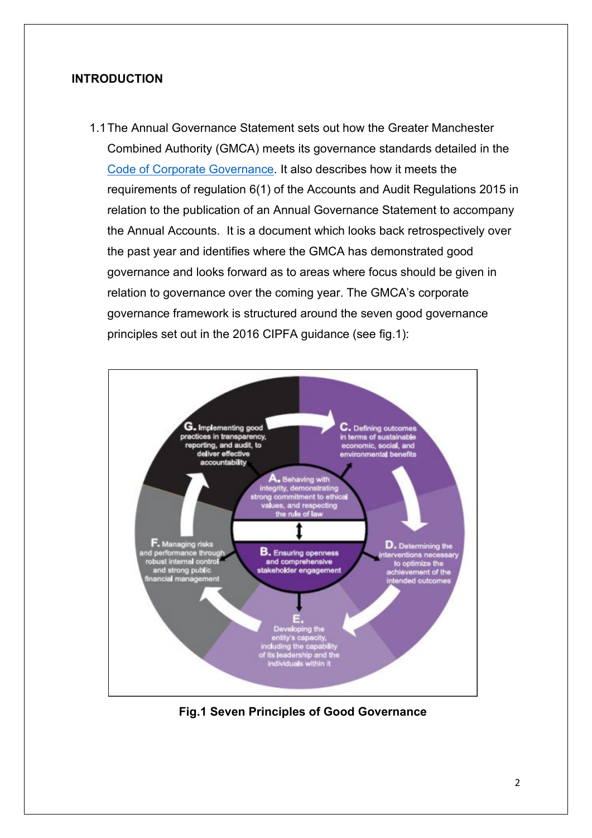#### **INTRODUCTION**

1.1The Annual Governance Statement sets out how the Greater Manchester Combined Authority (GMCA) meets its governance standards detailed in the [Code of Corporate Governance.](https://www.greatermanchester-ca.gov.uk/who-we-are/accounts-transparency-and-governance/) It also describes how it meets the requirements of regulation 6(1) of the Accounts and Audit Regulations 2015 in relation to the publication of an Annual Governance Statement to accompany the Annual Accounts. It is a document which looks back retrospectively over the past year and identifies where the GMCA has demonstrated good governance and looks forward as to areas where focus should be given in relation to governance over the coming year. The GMCA's corporate governance framework is structured around the seven good governance principles set out in the 2016 CIPFA guidance (see fig.1):



**Fig.1 Seven Principles of Good Governance**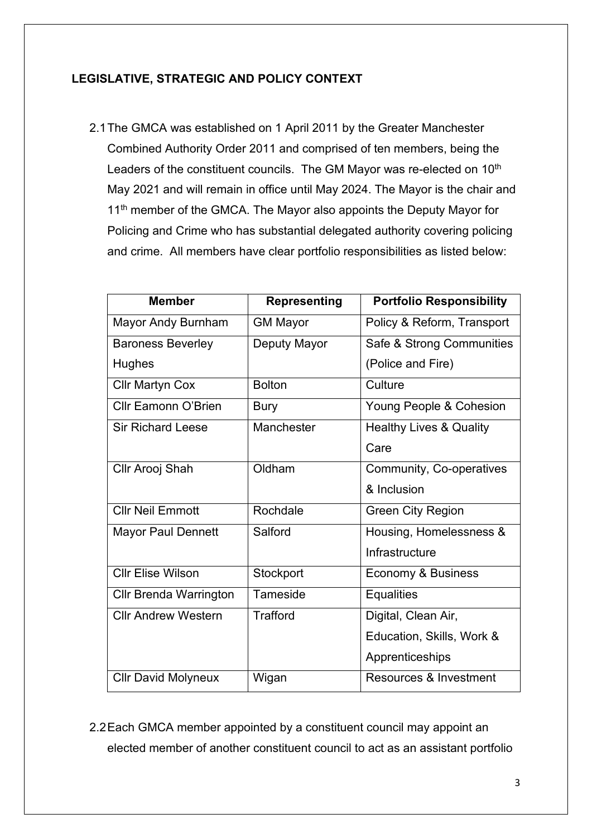### **LEGISLATIVE, STRATEGIC AND POLICY CONTEXT**

2.1The GMCA was established on 1 April 2011 by the Greater Manchester Combined Authority Order 2011 and comprised of ten members, being the Leaders of the constituent councils. The GM Mayor was re-elected on 10<sup>th</sup> May 2021 and will remain in office until May 2024. The Mayor is the chair and 11<sup>th</sup> member of the GMCA. The Mayor also appoints the Deputy Mayor for Policing and Crime who has substantial delegated authority covering policing and crime. All members have clear portfolio responsibilities as listed below:

| <b>Member</b>              | <b>Representing</b> | <b>Portfolio Responsibility</b>    |
|----------------------------|---------------------|------------------------------------|
| Mayor Andy Burnham         | <b>GM Mayor</b>     | Policy & Reform, Transport         |
| <b>Baroness Beverley</b>   | Deputy Mayor        | Safe & Strong Communities          |
| Hughes                     |                     | (Police and Fire)                  |
| <b>Cllr Martyn Cox</b>     | <b>Bolton</b>       | Culture                            |
| <b>Cllr Eamonn O'Brien</b> | Bury                | Young People & Cohesion            |
| <b>Sir Richard Leese</b>   | Manchester          | <b>Healthy Lives &amp; Quality</b> |
|                            |                     | Care                               |
| Cllr Arooj Shah            | Oldham              | Community, Co-operatives           |
|                            |                     | & Inclusion                        |
| <b>Cllr Neil Emmott</b>    | Rochdale            | <b>Green City Region</b>           |
| <b>Mayor Paul Dennett</b>  | Salford             | Housing, Homelessness &            |
|                            |                     | Infrastructure                     |
| <b>Cllr Elise Wilson</b>   | Stockport           | Economy & Business                 |
| Cllr Brenda Warrington     | Tameside            | <b>Equalities</b>                  |
| <b>Cllr Andrew Western</b> | <b>Trafford</b>     | Digital, Clean Air,                |
|                            |                     | Education, Skills, Work &          |
|                            |                     | Apprenticeships                    |
| <b>Cllr David Molyneux</b> | Wigan               | Resources & Investment             |

2.2Each GMCA member appointed by a constituent council may appoint an elected member of another constituent council to act as an assistant portfolio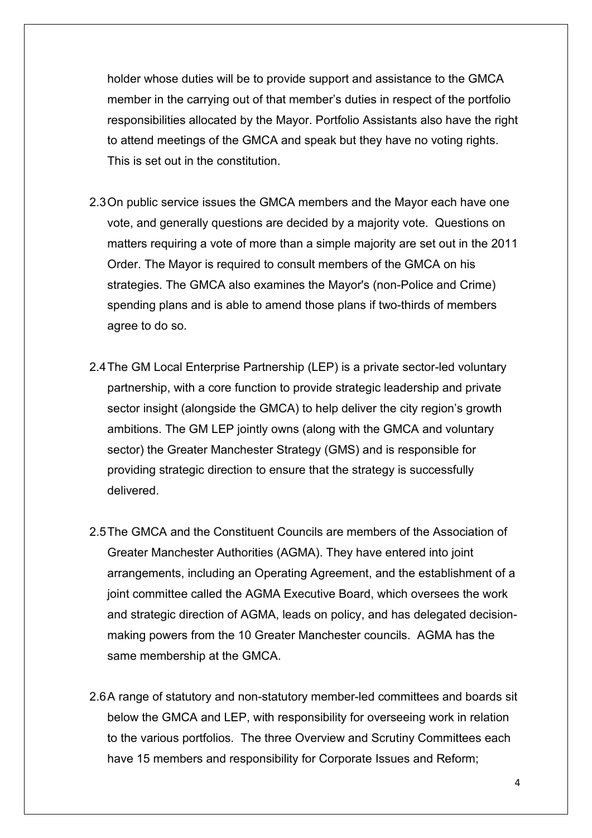holder whose duties will be to provide support and assistance to the GMCA member in the carrying out of that member's duties in respect of the portfolio responsibilities allocated by the Mayor. Portfolio Assistants also have the right to attend meetings of the GMCA and speak but they have no voting rights. This is set out in the constitution.

- 2.3On public service issues the GMCA members and the Mayor each have one vote, and generally questions are decided by a majority vote. Questions on matters requiring a vote of more than a simple majority are set out in the 2011 Order. The Mayor is required to consult members of the GMCA on his strategies. The GMCA also examines the Mayor's (non-Police and Crime) spending plans and is able to amend those plans if two-thirds of members agree to do so.
- 2.4The GM Local Enterprise Partnership (LEP) is a private sector-led voluntary partnership, with a core function to provide strategic leadership and private sector insight (alongside the GMCA) to help deliver the city region's growth ambitions. The GM LEP jointly owns (along with the GMCA and voluntary sector) the Greater Manchester Strategy (GMS) and is responsible for providing strategic direction to ensure that the strategy is successfully delivered.
- 2.5The GMCA and the Constituent Councils are members of the Association of Greater Manchester Authorities (AGMA). They have entered into joint arrangements, including an Operating Agreement, and the establishment of a joint committee called the AGMA Executive Board, which oversees the work and strategic direction of AGMA, leads on policy, and has delegated decisionmaking powers from the 10 Greater Manchester councils. AGMA has the same membership at the GMCA.
- 2.6A range of statutory and non-statutory member-led committees and boards sit below the GMCA and LEP, with responsibility for overseeing work in relation to the various portfolios. The three Overview and Scrutiny Committees each have 15 members and responsibility for Corporate Issues and Reform;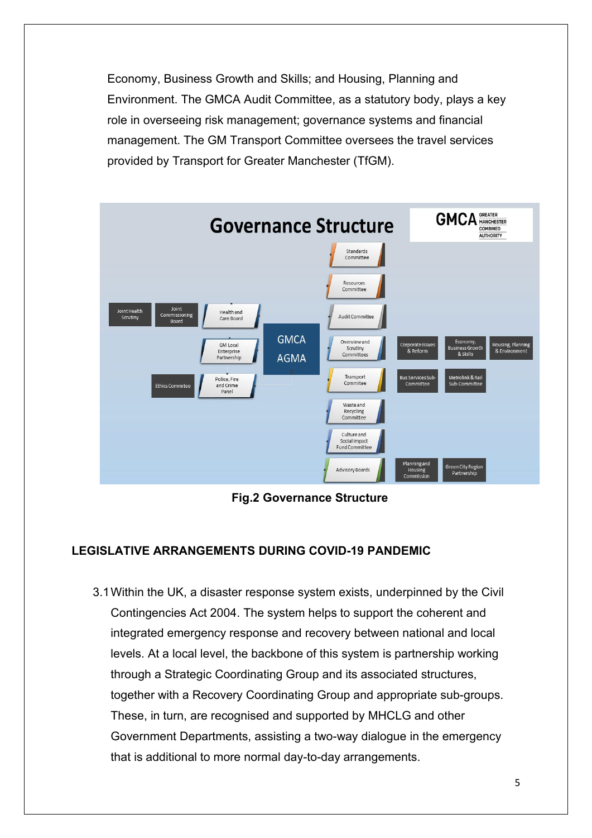Economy, Business Growth and Skills; and Housing, Planning and Environment. The GMCA Audit Committee, as a statutory body, plays a key role in overseeing risk management; governance systems and financial management. The GM Transport Committee oversees the travel services provided by Transport for Greater Manchester (TfGM).



**Fig.2 Governance Structure**

### **LEGISLATIVE ARRANGEMENTS DURING COVID-19 PANDEMIC**

3.1Within the UK, a disaster response system exists, underpinned by the Civil Contingencies Act 2004. The system helps to support the coherent and integrated emergency response and recovery between national and local levels. At a local level, the backbone of this system is partnership working through a Strategic Coordinating Group and its associated structures, together with a Recovery Coordinating Group and appropriate sub-groups. These, in turn, are recognised and supported by MHCLG and other Government Departments, assisting a two-way dialogue in the emergency that is additional to more normal day-to-day arrangements.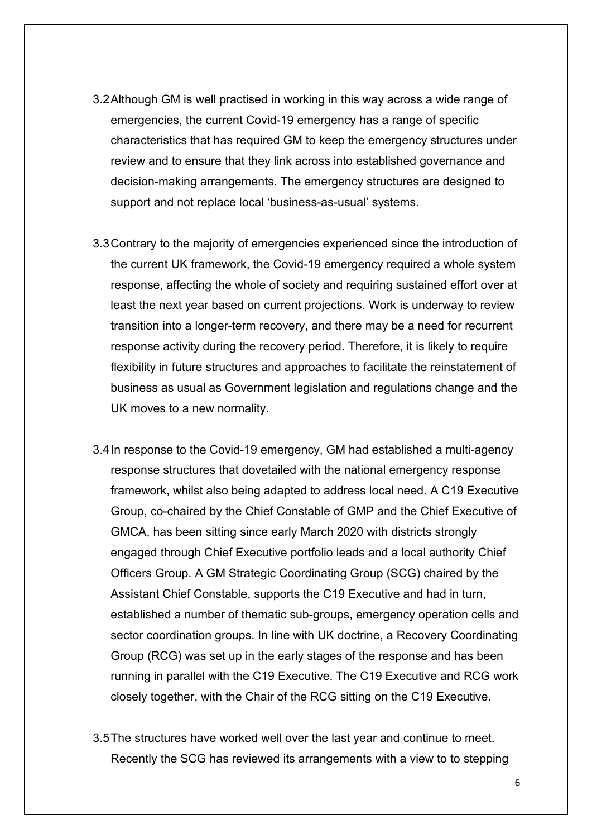- 3.2Although GM is well practised in working in this way across a wide range of emergencies, the current Covid-19 emergency has a range of specific characteristics that has required GM to keep the emergency structures under review and to ensure that they link across into established governance and decision-making arrangements. The emergency structures are designed to support and not replace local 'business-as-usual' systems.
- 3.3Contrary to the majority of emergencies experienced since the introduction of the current UK framework, the Covid-19 emergency required a whole system response, affecting the whole of society and requiring sustained effort over at least the next year based on current projections. Work is underway to review transition into a longer-term recovery, and there may be a need for recurrent response activity during the recovery period. Therefore, it is likely to require flexibility in future structures and approaches to facilitate the reinstatement of business as usual as Government legislation and regulations change and the UK moves to a new normality.
- 3.4In response to the Covid-19 emergency, GM had established a multi-agency response structures that dovetailed with the national emergency response framework, whilst also being adapted to address local need. A C19 Executive Group, co-chaired by the Chief Constable of GMP and the Chief Executive of GMCA, has been sitting since early March 2020 with districts strongly engaged through Chief Executive portfolio leads and a local authority Chief Officers Group. A GM Strategic Coordinating Group (SCG) chaired by the Assistant Chief Constable, supports the C19 Executive and had in turn, established a number of thematic sub-groups, emergency operation cells and sector coordination groups. In line with UK doctrine, a Recovery Coordinating Group (RCG) was set up in the early stages of the response and has been running in parallel with the C19 Executive. The C19 Executive and RCG work closely together, with the Chair of the RCG sitting on the C19 Executive.
- 3.5The structures have worked well over the last year and continue to meet. Recently the SCG has reviewed its arrangements with a view to to stepping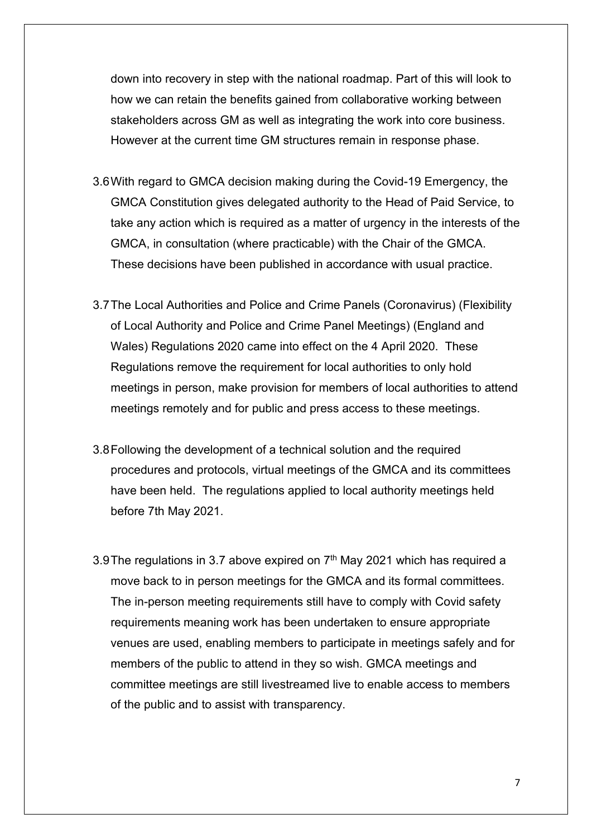down into recovery in step with the national roadmap. Part of this will look to how we can retain the benefits gained from collaborative working between stakeholders across GM as well as integrating the work into core business. However at the current time GM structures remain in response phase.

- 3.6With regard to GMCA decision making during the Covid-19 Emergency, the GMCA Constitution gives delegated authority to the Head of Paid Service, to take any action which is required as a matter of urgency in the interests of the GMCA, in consultation (where practicable) with the Chair of the GMCA. These decisions have been published in accordance with usual practice.
- 3.7The Local Authorities and Police and Crime Panels (Coronavirus) (Flexibility of Local Authority and Police and Crime Panel Meetings) (England and Wales) Regulations 2020 came into effect on the 4 April 2020. These Regulations remove the requirement for local authorities to only hold meetings in person, make provision for members of local authorities to attend meetings remotely and for public and press access to these meetings.
- 3.8Following the development of a technical solution and the required procedures and protocols, virtual meetings of the GMCA and its committees have been held. The regulations applied to local authority meetings held before 7th May 2021.
- 3.9 The regulations in 3.7 above expired on  $7<sup>th</sup>$  May 2021 which has required a move back to in person meetings for the GMCA and its formal committees. The in-person meeting requirements still have to comply with Covid safety requirements meaning work has been undertaken to ensure appropriate venues are used, enabling members to participate in meetings safely and for members of the public to attend in they so wish. GMCA meetings and committee meetings are still livestreamed live to enable access to members of the public and to assist with transparency.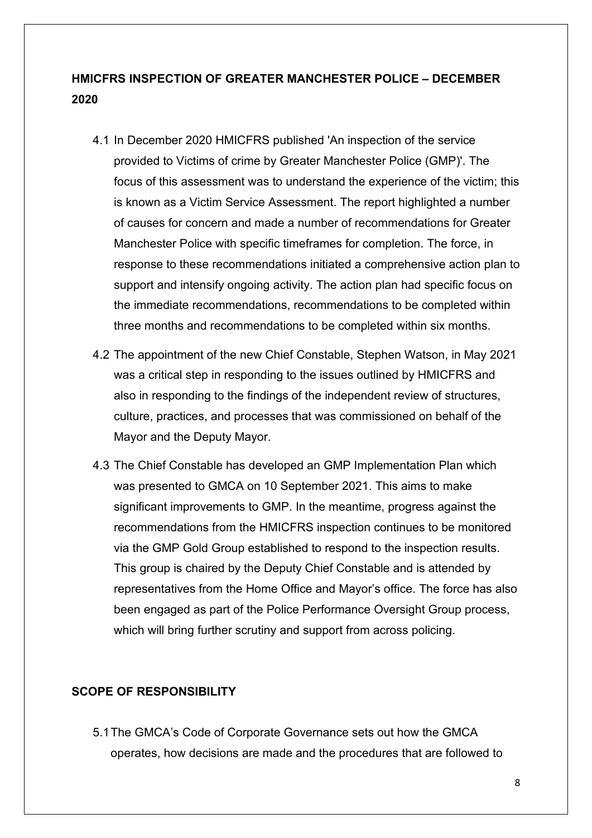### **HMICFRS INSPECTION OF GREATER MANCHESTER POLICE – DECEMBER 2020**

- 4.1 In December 2020 HMICFRS published 'An inspection of the service provided to Victims of crime by Greater Manchester Police (GMP)'. The focus of this assessment was to understand the experience of the victim; this is known as a Victim Service Assessment. The report highlighted a number of causes for concern and made a number of recommendations for Greater Manchester Police with specific timeframes for completion. The force, in response to these recommendations initiated a comprehensive action plan to support and intensify ongoing activity. The action plan had specific focus on the immediate recommendations, recommendations to be completed within three months and recommendations to be completed within six months.
- 4.2 The appointment of the new Chief Constable, Stephen Watson, in May 2021 was a critical step in responding to the issues outlined by HMICFRS and also in responding to the findings of the independent review of structures, culture, practices, and processes that was commissioned on behalf of the Mayor and the Deputy Mayor.
- 4.3 The Chief Constable has developed an GMP Implementation Plan which was presented to GMCA on 10 September 2021. This aims to make significant improvements to GMP. In the meantime, progress against the recommendations from the HMICFRS inspection continues to be monitored via the GMP Gold Group established to respond to the inspection results. This group is chaired by the Deputy Chief Constable and is attended by representatives from the Home Office and Mayor's office. The force has also been engaged as part of the Police Performance Oversight Group process, which will bring further scrutiny and support from across policing.

#### **SCOPE OF RESPONSIBILITY**

5.1The GMCA's Code of Corporate Governance sets out how the GMCA operates, how decisions are made and the procedures that are followed to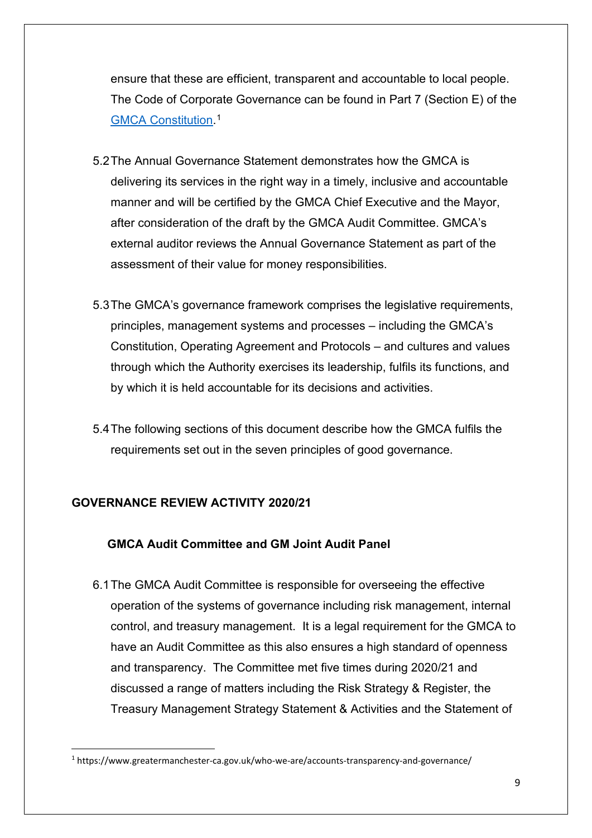ensure that these are efficient, transparent and accountable to local people. The Code of Corporate Governance can be found in Part 7 (Section E) of the [GMCA Constitution.](https://www.greatermanchester-ca.gov.uk/who-we-are/accounts-transparency-and-governance/) [1](#page-8-0)

- 5.2The Annual Governance Statement demonstrates how the GMCA is delivering its services in the right way in a timely, inclusive and accountable manner and will be certified by the GMCA Chief Executive and the Mayor, after consideration of the draft by the GMCA Audit Committee. GMCA's external auditor reviews the Annual Governance Statement as part of the assessment of their value for money responsibilities.
- 5.3The GMCA's governance framework comprises the legislative requirements, principles, management systems and processes – including the GMCA's Constitution, Operating Agreement and Protocols – and cultures and values through which the Authority exercises its leadership, fulfils its functions, and by which it is held accountable for its decisions and activities.
- 5.4The following sections of this document describe how the GMCA fulfils the requirements set out in the seven principles of good governance.

### **GOVERNANCE REVIEW ACTIVITY 2020/21**

### **GMCA Audit Committee and GM Joint Audit Panel**

6.1The GMCA Audit Committee is responsible for overseeing the effective operation of the systems of governance including risk management, internal control, and treasury management. It is a legal requirement for the GMCA to have an Audit Committee as this also ensures a high standard of openness and transparency. The Committee met five times during 2020/21 and discussed a range of matters including the Risk Strategy & Register, the Treasury Management Strategy Statement & Activities and the Statement of

<span id="page-8-0"></span><sup>1</sup> https://www.greatermanchester-ca.gov.uk/who-we-are/accounts-transparency-and-governance/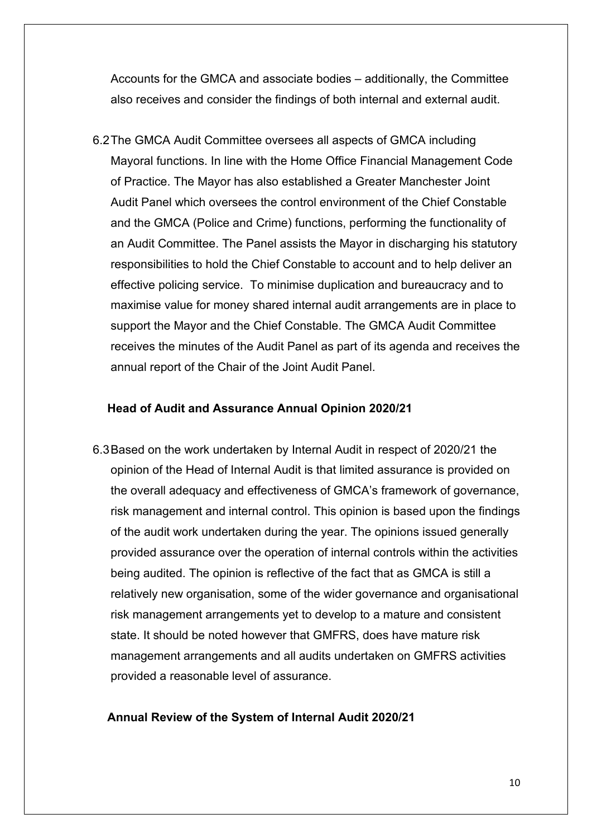Accounts for the GMCA and associate bodies – additionally, the Committee also receives and consider the findings of both internal and external audit.

6.2The GMCA Audit Committee oversees all aspects of GMCA including Mayoral functions. In line with the Home Office Financial Management Code of Practice. The Mayor has also established a Greater Manchester Joint Audit Panel which oversees the control environment of the Chief Constable and the GMCA (Police and Crime) functions, performing the functionality of an Audit Committee. The Panel assists the Mayor in discharging his statutory responsibilities to hold the Chief Constable to account and to help deliver an effective policing service. To minimise duplication and bureaucracy and to maximise value for money shared internal audit arrangements are in place to support the Mayor and the Chief Constable. The GMCA Audit Committee receives the minutes of the Audit Panel as part of its agenda and receives the annual report of the Chair of the Joint Audit Panel.

#### **Head of Audit and Assurance Annual Opinion 2020/21**

6.3Based on the work undertaken by Internal Audit in respect of 2020/21 the opinion of the Head of Internal Audit is that limited assurance is provided on the overall adequacy and effectiveness of GMCA's framework of governance, risk management and internal control. This opinion is based upon the findings of the audit work undertaken during the year. The opinions issued generally provided assurance over the operation of internal controls within the activities being audited. The opinion is reflective of the fact that as GMCA is still a relatively new organisation, some of the wider governance and organisational risk management arrangements yet to develop to a mature and consistent state. It should be noted however that GMFRS, does have mature risk management arrangements and all audits undertaken on GMFRS activities provided a reasonable level of assurance.

#### **Annual Review of the System of Internal Audit 2020/21**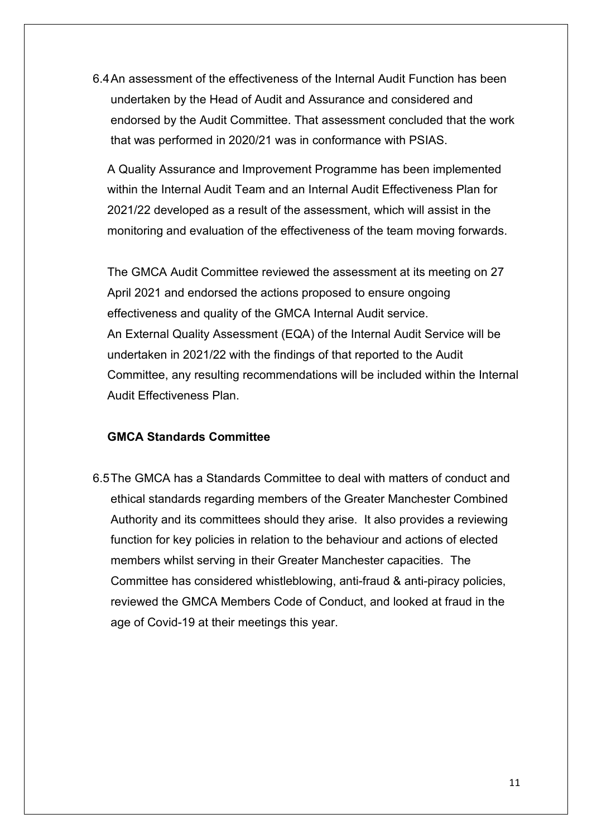6.4An assessment of the effectiveness of the Internal Audit Function has been undertaken by the Head of Audit and Assurance and considered and endorsed by the Audit Committee. That assessment concluded that the work that was performed in 2020/21 was in conformance with PSIAS.

A Quality Assurance and Improvement Programme has been implemented within the Internal Audit Team and an Internal Audit Effectiveness Plan for 2021/22 developed as a result of the assessment, which will assist in the monitoring and evaluation of the effectiveness of the team moving forwards.

The GMCA Audit Committee reviewed the assessment at its meeting on 27 April 2021 and endorsed the actions proposed to ensure ongoing effectiveness and quality of the GMCA Internal Audit service. An External Quality Assessment (EQA) of the Internal Audit Service will be undertaken in 2021/22 with the findings of that reported to the Audit Committee, any resulting recommendations will be included within the Internal Audit Effectiveness Plan.

#### **GMCA Standards Committee**

6.5The GMCA has a Standards Committee to deal with matters of conduct and ethical standards regarding members of the Greater Manchester Combined Authority and its committees should they arise. It also provides a reviewing function for key policies in relation to the behaviour and actions of elected members whilst serving in their Greater Manchester capacities. The Committee has considered whistleblowing, anti-fraud & anti-piracy policies, reviewed the GMCA Members Code of Conduct, and looked at fraud in the age of Covid-19 at their meetings this year.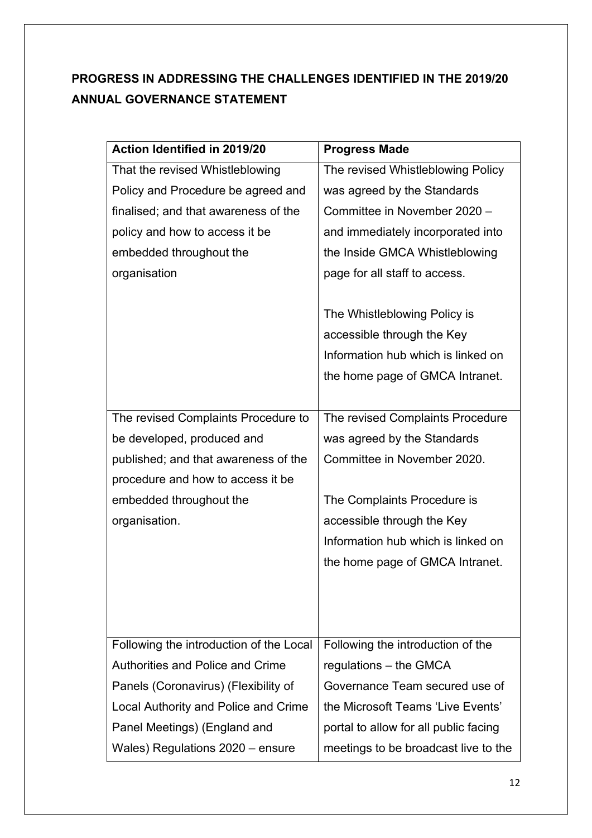# **PROGRESS IN ADDRESSING THE CHALLENGES IDENTIFIED IN THE 2019/20 ANNUAL GOVERNANCE STATEMENT**

| Action Identified in 2019/20            | <b>Progress Made</b>                  |
|-----------------------------------------|---------------------------------------|
| That the revised Whistleblowing         | The revised Whistleblowing Policy     |
| Policy and Procedure be agreed and      | was agreed by the Standards           |
| finalised; and that awareness of the    | Committee in November 2020 -          |
| policy and how to access it be          | and immediately incorporated into     |
| embedded throughout the                 | the Inside GMCA Whistleblowing        |
| organisation                            | page for all staff to access.         |
|                                         |                                       |
|                                         | The Whistleblowing Policy is          |
|                                         | accessible through the Key            |
|                                         | Information hub which is linked on    |
|                                         | the home page of GMCA Intranet.       |
|                                         |                                       |
| The revised Complaints Procedure to     | The revised Complaints Procedure      |
| be developed, produced and              | was agreed by the Standards           |
| published; and that awareness of the    | Committee in November 2020.           |
| procedure and how to access it be       |                                       |
| embedded throughout the                 | The Complaints Procedure is           |
| organisation.                           | accessible through the Key            |
|                                         | Information hub which is linked on    |
|                                         | the home page of GMCA Intranet.       |
|                                         |                                       |
|                                         |                                       |
|                                         |                                       |
| Following the introduction of the Local | Following the introduction of the     |
| <b>Authorities and Police and Crime</b> | regulations $-$ the GMCA              |
| Panels (Coronavirus) (Flexibility of    | Governance Team secured use of        |
| Local Authority and Police and Crime    | the Microsoft Teams 'Live Events'     |
| Panel Meetings) (England and            | portal to allow for all public facing |
| Wales) Regulations 2020 – ensure        | meetings to be broadcast live to the  |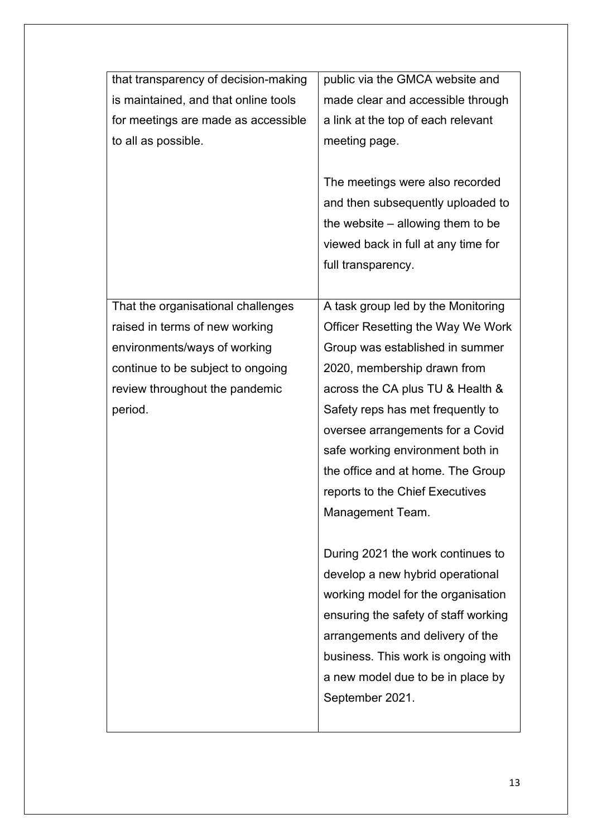| that transparency of decision-making | public via the GMCA website and      |
|--------------------------------------|--------------------------------------|
| is maintained, and that online tools | made clear and accessible through    |
| for meetings are made as accessible  | a link at the top of each relevant   |
| to all as possible.                  | meeting page.                        |
|                                      |                                      |
|                                      | The meetings were also recorded      |
|                                      | and then subsequently uploaded to    |
|                                      | the website $-$ allowing them to be  |
|                                      | viewed back in full at any time for  |
|                                      | full transparency.                   |
|                                      |                                      |
| That the organisational challenges   | A task group led by the Monitoring   |
| raised in terms of new working       | Officer Resetting the Way We Work    |
| environments/ways of working         | Group was established in summer      |
| continue to be subject to ongoing    | 2020, membership drawn from          |
| review throughout the pandemic       | across the CA plus TU & Health &     |
| period.                              | Safety reps has met frequently to    |
|                                      | oversee arrangements for a Covid     |
|                                      | safe working environment both in     |
|                                      | the office and at home. The Group    |
|                                      | reports to the Chief Executives      |
|                                      | Management Team.                     |
|                                      |                                      |
|                                      | During 2021 the work continues to    |
|                                      | develop a new hybrid operational     |
|                                      | working model for the organisation   |
|                                      | ensuring the safety of staff working |
|                                      | arrangements and delivery of the     |
|                                      | business. This work is ongoing with  |
|                                      | a new model due to be in place by    |
|                                      | September 2021.                      |
|                                      |                                      |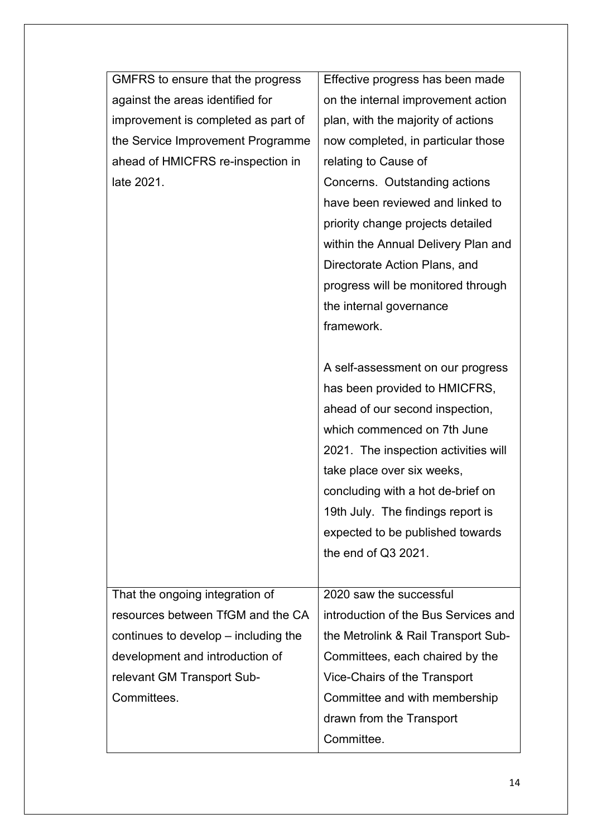| GMFRS to ensure that the progress    | Effective progress has been made     |
|--------------------------------------|--------------------------------------|
| against the areas identified for     | on the internal improvement action   |
| improvement is completed as part of  | plan, with the majority of actions   |
| the Service Improvement Programme    | now completed, in particular those   |
| ahead of HMICFRS re-inspection in    | relating to Cause of                 |
| late 2021.                           | Concerns. Outstanding actions        |
|                                      | have been reviewed and linked to     |
|                                      | priority change projects detailed    |
|                                      | within the Annual Delivery Plan and  |
|                                      | Directorate Action Plans, and        |
|                                      | progress will be monitored through   |
|                                      | the internal governance              |
|                                      | framework.                           |
|                                      |                                      |
|                                      | A self-assessment on our progress    |
|                                      | has been provided to HMICFRS,        |
|                                      | ahead of our second inspection,      |
|                                      | which commenced on 7th June          |
|                                      | 2021. The inspection activities will |
|                                      | take place over six weeks,           |
|                                      | concluding with a hot de-brief on    |
|                                      | 19th July. The findings report is    |
|                                      | expected to be published towards     |
|                                      | the end of Q3 2021.                  |
|                                      |                                      |
| That the ongoing integration of      | 2020 saw the successful              |
| resources between TfGM and the CA    | introduction of the Bus Services and |
| continues to develop – including the | the Metrolink & Rail Transport Sub-  |
| development and introduction of      | Committees, each chaired by the      |
| relevant GM Transport Sub-           | Vice-Chairs of the Transport         |
| Committees.                          | Committee and with membership        |
|                                      | drawn from the Transport             |
|                                      | Committee.                           |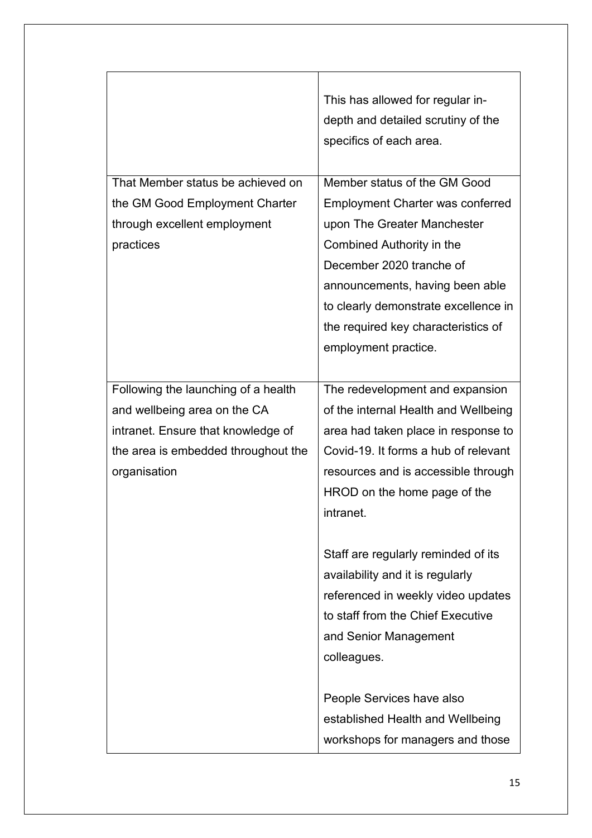|                                                                                                                                                                  | This has allowed for regular in-<br>depth and detailed scrutiny of the<br>specifics of each area.                                                                                                                                                                                                                                                                                                                                        |
|------------------------------------------------------------------------------------------------------------------------------------------------------------------|------------------------------------------------------------------------------------------------------------------------------------------------------------------------------------------------------------------------------------------------------------------------------------------------------------------------------------------------------------------------------------------------------------------------------------------|
| That Member status be achieved on<br>the GM Good Employment Charter<br>through excellent employment<br>practices                                                 | Member status of the GM Good<br><b>Employment Charter was conferred</b><br>upon The Greater Manchester<br>Combined Authority in the<br>December 2020 tranche of<br>announcements, having been able<br>to clearly demonstrate excellence in<br>the required key characteristics of<br>employment practice.                                                                                                                                |
| Following the launching of a health<br>and wellbeing area on the CA<br>intranet. Ensure that knowledge of<br>the area is embedded throughout the<br>organisation | The redevelopment and expansion<br>of the internal Health and Wellbeing<br>area had taken place in response to<br>Covid-19. It forms a hub of relevant<br>resources and is accessible through<br>HROD on the home page of the<br>intranet.<br>Staff are regularly reminded of its<br>availability and it is regularly<br>referenced in weekly video updates<br>to staff from the Chief Executive<br>and Senior Management<br>colleagues. |
|                                                                                                                                                                  | People Services have also<br>established Health and Wellbeing<br>workshops for managers and those                                                                                                                                                                                                                                                                                                                                        |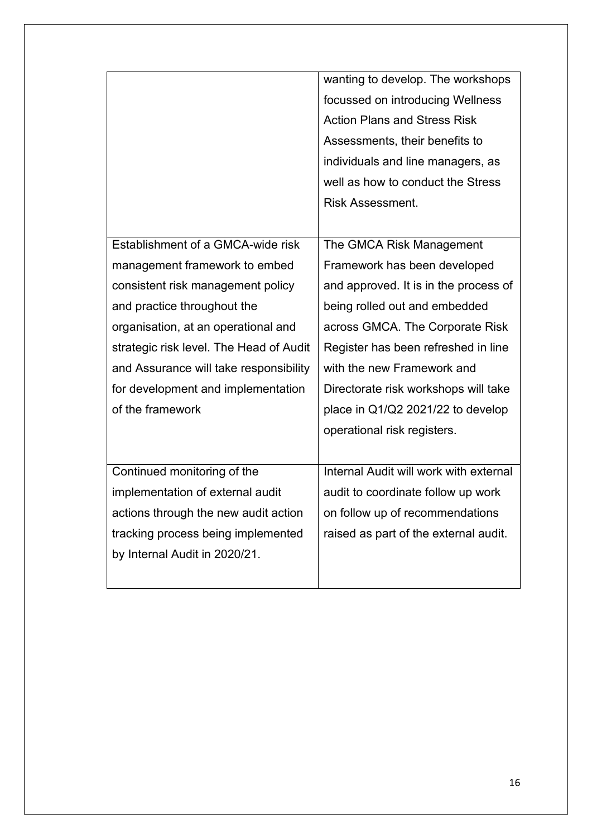|                                         | wanting to develop. The workshops      |
|-----------------------------------------|----------------------------------------|
|                                         | focussed on introducing Wellness       |
|                                         | <b>Action Plans and Stress Risk</b>    |
|                                         | Assessments, their benefits to         |
|                                         | individuals and line managers, as      |
|                                         | well as how to conduct the Stress      |
|                                         | <b>Risk Assessment.</b>                |
|                                         |                                        |
| Establishment of a GMCA-wide risk       | The GMCA Risk Management               |
| management framework to embed           | Framework has been developed           |
| consistent risk management policy       | and approved. It is in the process of  |
| and practice throughout the             | being rolled out and embedded          |
| organisation, at an operational and     | across GMCA. The Corporate Risk        |
| strategic risk level. The Head of Audit | Register has been refreshed in line    |
| and Assurance will take responsibility  | with the new Framework and             |
| for development and implementation      | Directorate risk workshops will take   |
| of the framework                        | place in Q1/Q2 2021/22 to develop      |
|                                         | operational risk registers.            |
|                                         |                                        |
| Continued monitoring of the             | Internal Audit will work with external |
| implementation of external audit        | audit to coordinate follow up work     |
| actions through the new audit action    | on follow up of recommendations        |
| tracking process being implemented      | raised as part of the external audit.  |
| by Internal Audit in 2020/21.           |                                        |
|                                         |                                        |
|                                         |                                        |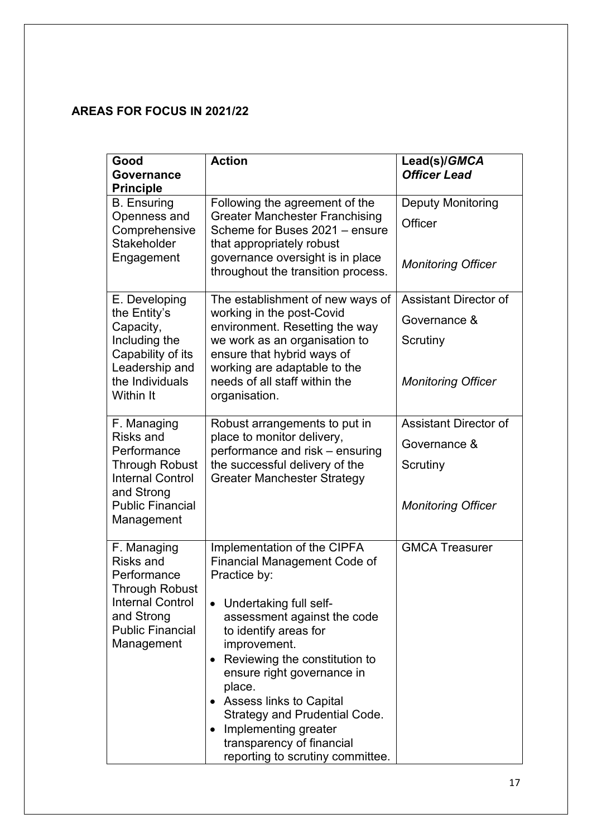### **AREAS FOR FOCUS IN 2021/22**

| Good<br>Governance<br><b>Principle</b>                                                                                                             | <b>Action</b>                                                                                                                                                                                                                                                                                                                                                                                                                                | Lead(s)/GMCA<br><b>Officer Lead</b> |
|----------------------------------------------------------------------------------------------------------------------------------------------------|----------------------------------------------------------------------------------------------------------------------------------------------------------------------------------------------------------------------------------------------------------------------------------------------------------------------------------------------------------------------------------------------------------------------------------------------|-------------------------------------|
| <b>B.</b> Ensuring<br>Openness and<br>Comprehensive                                                                                                | Following the agreement of the<br><b>Greater Manchester Franchising</b><br>Scheme for Buses 2021 – ensure                                                                                                                                                                                                                                                                                                                                    | <b>Deputy Monitoring</b><br>Officer |
| <b>Stakeholder</b><br>Engagement                                                                                                                   | that appropriately robust<br>governance oversight is in place<br>throughout the transition process.                                                                                                                                                                                                                                                                                                                                          | <b>Monitoring Officer</b>           |
| E. Developing                                                                                                                                      | The establishment of new ways of                                                                                                                                                                                                                                                                                                                                                                                                             | Assistant Director of               |
| the Entity's<br>Capacity,                                                                                                                          | working in the post-Covid<br>environment. Resetting the way                                                                                                                                                                                                                                                                                                                                                                                  | Governance &                        |
| Including the<br>Capability of its                                                                                                                 | we work as an organisation to<br>ensure that hybrid ways of                                                                                                                                                                                                                                                                                                                                                                                  | Scrutiny                            |
| Leadership and<br>the Individuals<br>Within It                                                                                                     | working are adaptable to the<br>needs of all staff within the<br>organisation.                                                                                                                                                                                                                                                                                                                                                               | <b>Monitoring Officer</b>           |
| F. Managing                                                                                                                                        | Robust arrangements to put in<br>place to monitor delivery,<br>performance and risk - ensuring<br>the successful delivery of the<br><b>Greater Manchester Strategy</b>                                                                                                                                                                                                                                                                       | <b>Assistant Director of</b>        |
| Risks and<br>Performance<br><b>Through Robust</b><br><b>Internal Control</b><br>and Strong                                                         |                                                                                                                                                                                                                                                                                                                                                                                                                                              | Governance &                        |
|                                                                                                                                                    |                                                                                                                                                                                                                                                                                                                                                                                                                                              | Scrutiny                            |
| <b>Public Financial</b><br>Management                                                                                                              |                                                                                                                                                                                                                                                                                                                                                                                                                                              | <b>Monitoring Officer</b>           |
| F. Managing<br>Risks and<br>Performance<br><b>Through Robust</b><br><b>Internal Control</b><br>and Strong<br><b>Public Financial</b><br>Management | Implementation of the CIPFA<br><b>Financial Management Code of</b><br>Practice by:<br>Undertaking full self-<br>assessment against the code<br>to identify areas for<br>improvement.<br>Reviewing the constitution to<br>$\bullet$<br>ensure right governance in<br>place.<br>Assess links to Capital<br>Strategy and Prudential Code.<br>Implementing greater<br>$\bullet$<br>transparency of financial<br>reporting to scrutiny committee. | <b>GMCA Treasurer</b>               |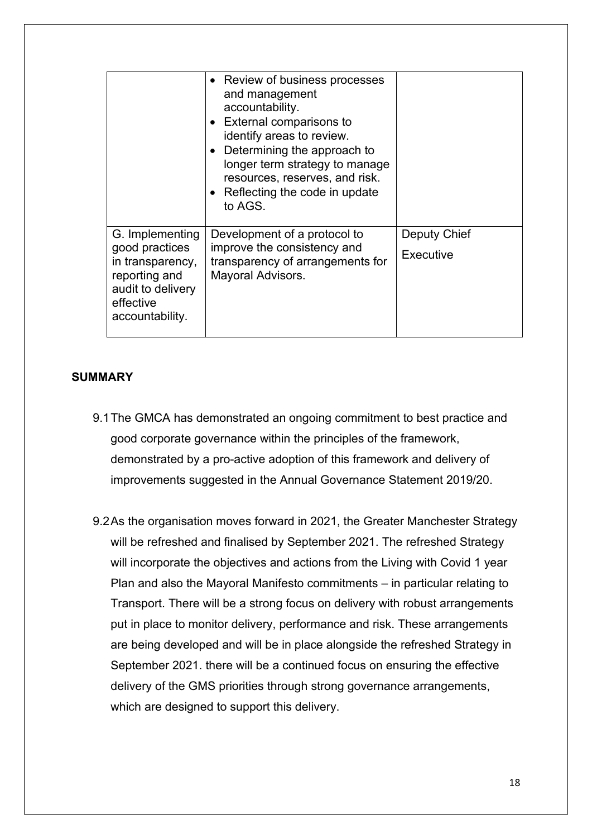|                                                                                                                             | • Review of business processes<br>and management<br>accountability.<br>• External comparisons to<br>identify areas to review.<br>Determining the approach to<br>longer term strategy to manage<br>resources, reserves, and risk.<br>• Reflecting the code in update<br>to AGS. |                           |
|-----------------------------------------------------------------------------------------------------------------------------|--------------------------------------------------------------------------------------------------------------------------------------------------------------------------------------------------------------------------------------------------------------------------------|---------------------------|
| G. Implementing<br>good practices<br>in transparency,<br>reporting and<br>audit to delivery<br>effective<br>accountability. | Development of a protocol to<br>improve the consistency and<br>transparency of arrangements for<br>Mayoral Advisors.                                                                                                                                                           | Deputy Chief<br>Executive |

#### **SUMMARY**

- 9.1The GMCA has demonstrated an ongoing commitment to best practice and good corporate governance within the principles of the framework, demonstrated by a pro-active adoption of this framework and delivery of improvements suggested in the Annual Governance Statement 2019/20.
- 9.2As the organisation moves forward in 2021, the Greater Manchester Strategy will be refreshed and finalised by September 2021. The refreshed Strategy will incorporate the objectives and actions from the Living with Covid 1 year Plan and also the Mayoral Manifesto commitments – in particular relating to Transport. There will be a strong focus on delivery with robust arrangements put in place to monitor delivery, performance and risk. These arrangements are being developed and will be in place alongside the refreshed Strategy in September 2021. there will be a continued focus on ensuring the effective delivery of the GMS priorities through strong governance arrangements, which are designed to support this delivery.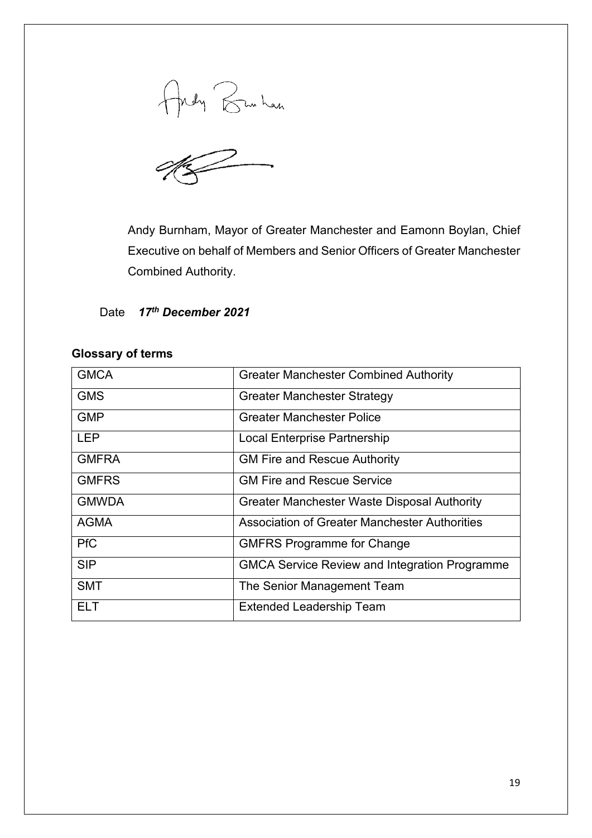Andy Bunhan

Andy Burnham, Mayor of Greater Manchester and Eamonn Boylan, Chief Executive on behalf of Members and Senior Officers of Greater Manchester Combined Authority.

Date *17th December 2021*

#### **Glossary of terms**

| <b>GMCA</b>  | <b>Greater Manchester Combined Authority</b>         |
|--------------|------------------------------------------------------|
| <b>GMS</b>   | <b>Greater Manchester Strategy</b>                   |
| <b>GMP</b>   | <b>Greater Manchester Police</b>                     |
| <b>LEP</b>   | Local Enterprise Partnership                         |
| <b>GMFRA</b> | <b>GM Fire and Rescue Authority</b>                  |
| <b>GMFRS</b> | <b>GM Fire and Rescue Service</b>                    |
| <b>GMWDA</b> | Greater Manchester Waste Disposal Authority          |
| <b>AGMA</b>  | Association of Greater Manchester Authorities        |
| <b>PfC</b>   | <b>GMFRS Programme for Change</b>                    |
| <b>SIP</b>   | <b>GMCA Service Review and Integration Programme</b> |
| <b>SMT</b>   | The Senior Management Team                           |
| ELT          | <b>Extended Leadership Team</b>                      |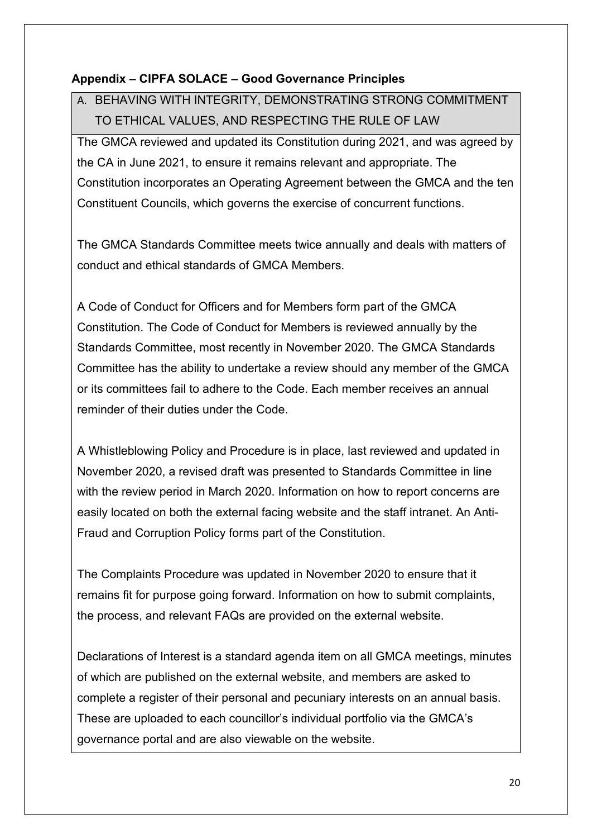### **Appendix – CIPFA SOLACE – Good Governance Principles**

# A. BEHAVING WITH INTEGRITY, DEMONSTRATING STRONG COMMITMENT TO ETHICAL VALUES, AND RESPECTING THE RULE OF LAW

The GMCA reviewed and updated its Constitution during 2021, and was agreed by the CA in June 2021, to ensure it remains relevant and appropriate. The Constitution incorporates an Operating Agreement between the GMCA and the ten Constituent Councils, which governs the exercise of concurrent functions.

The GMCA Standards Committee meets twice annually and deals with matters of conduct and ethical standards of GMCA Members.

A Code of Conduct for Officers and for Members form part of the GMCA Constitution. The Code of Conduct for Members is reviewed annually by the Standards Committee, most recently in November 2020. The GMCA Standards Committee has the ability to undertake a review should any member of the GMCA or its committees fail to adhere to the Code. Each member receives an annual reminder of their duties under the Code.

A Whistleblowing Policy and Procedure is in place, last reviewed and updated in November 2020, a revised draft was presented to Standards Committee in line with the review period in March 2020. Information on how to report concerns are easily located on both the external facing website and the staff intranet. An Anti-Fraud and Corruption Policy forms part of the Constitution.

The Complaints Procedure was updated in November 2020 to ensure that it remains fit for purpose going forward. Information on how to submit complaints, the process, and relevant FAQs are provided on the external website.

Declarations of Interest is a standard agenda item on all GMCA meetings, minutes of which are published on the external website, and members are asked to complete a register of their personal and pecuniary interests on an annual basis. These are uploaded to each councillor's individual portfolio via the GMCA's governance portal and are also viewable on the website.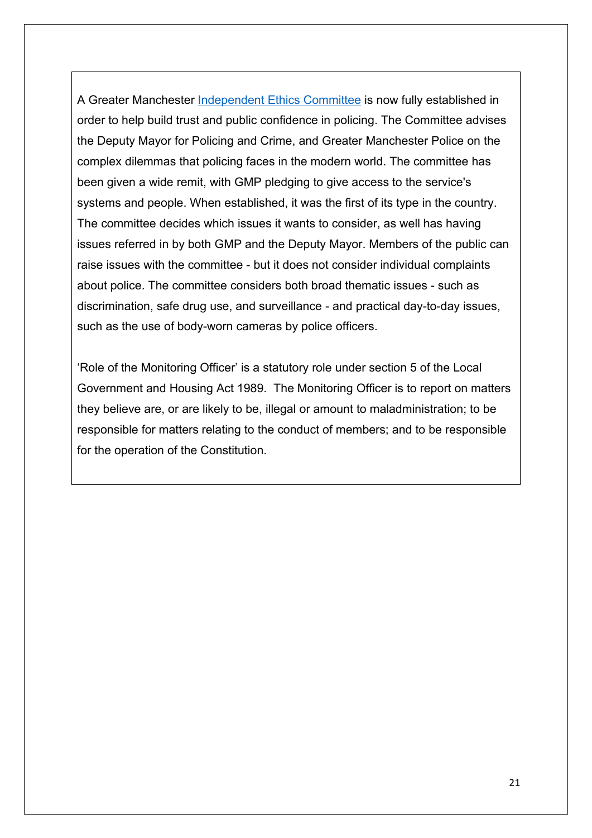A Greater Manchester [Independent Ethics Committee](https://www.greatermanchester-ca.gov.uk/what-we-do/police-plus-fire/ethics-committee/) is now fully established in order to help build trust and public confidence in policing. The Committee advises the Deputy Mayor for Policing and Crime, and Greater Manchester Police on the complex dilemmas that policing faces in the modern world. The committee has been given a wide remit, with GMP pledging to give access to the service's systems and people. When established, it was the first of its type in the country. The committee decides which issues it wants to consider, as well has having issues referred in by both GMP and the Deputy Mayor. Members of the public can raise issues with the committee - but it does not consider individual complaints about police. The committee considers both broad thematic issues - such as discrimination, safe drug use, and surveillance - and practical day-to-day issues, such as the use of body-worn cameras by police officers.

'Role of the Monitoring Officer' is a statutory role under section 5 of the Local Government and Housing Act 1989. The Monitoring Officer is to report on matters they believe are, or are likely to be, illegal or amount to maladministration; to be responsible for matters relating to the conduct of members; and to be responsible for the operation of the Constitution.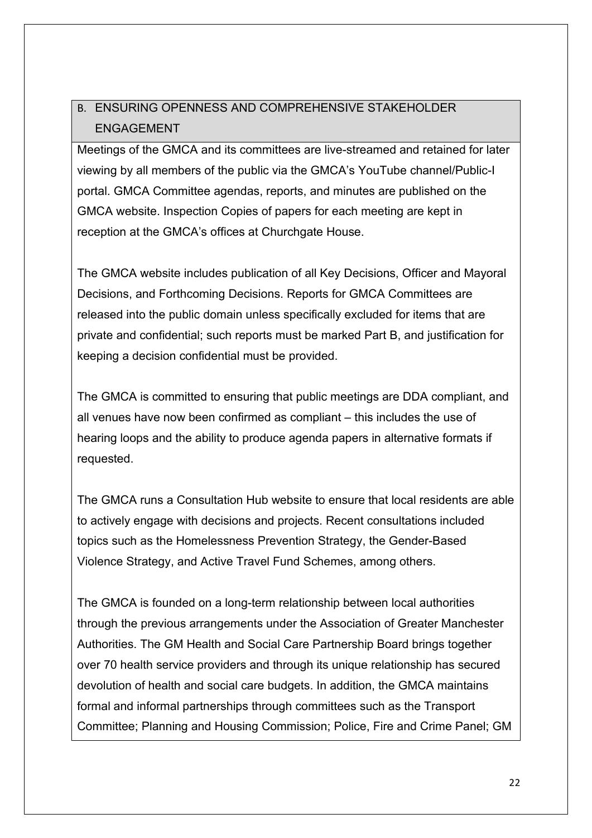## B. ENSURING OPENNESS AND COMPREHENSIVE STAKEHOLDER ENGAGEMENT

Meetings of the GMCA and its committees are live-streamed and retained for later viewing by all members of the public via the GMCA's YouTube channel/Public-I portal. GMCA Committee agendas, reports, and minutes are published on the GMCA website. Inspection Copies of papers for each meeting are kept in reception at the GMCA's offices at Churchgate House.

The GMCA website includes publication of all Key Decisions, Officer and Mayoral Decisions, and Forthcoming Decisions. Reports for GMCA Committees are released into the public domain unless specifically excluded for items that are private and confidential; such reports must be marked Part B, and justification for keeping a decision confidential must be provided.

The GMCA is committed to ensuring that public meetings are DDA compliant, and all venues have now been confirmed as compliant – this includes the use of hearing loops and the ability to produce agenda papers in alternative formats if requested.

The GMCA runs a Consultation Hub website to ensure that local residents are able to actively engage with decisions and projects. Recent consultations included topics such as the Homelessness Prevention Strategy, the Gender-Based Violence Strategy, and Active Travel Fund Schemes, among others.

The GMCA is founded on a long-term relationship between local authorities through the previous arrangements under the Association of Greater Manchester Authorities. The GM Health and Social Care Partnership Board brings together over 70 health service providers and through its unique relationship has secured devolution of health and social care budgets. In addition, the GMCA maintains formal and informal partnerships through committees such as the Transport Committee; Planning and Housing Commission; Police, Fire and Crime Panel; GM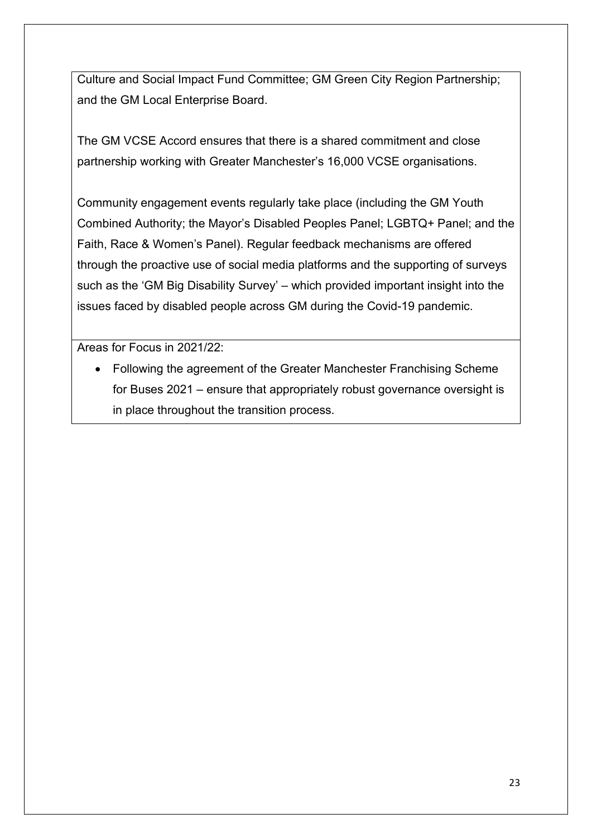Culture and Social Impact Fund Committee; GM Green City Region Partnership; and the GM Local Enterprise Board.

The GM VCSE Accord ensures that there is a shared commitment and close partnership working with Greater Manchester's 16,000 VCSE organisations.

Community engagement events regularly take place (including the GM Youth Combined Authority; the Mayor's Disabled Peoples Panel; LGBTQ+ Panel; and the Faith, Race & Women's Panel). Regular feedback mechanisms are offered through the proactive use of social media platforms and the supporting of surveys such as the 'GM Big Disability Survey' – which provided important insight into the issues faced by disabled people across GM during the Covid-19 pandemic.

Areas for Focus in 2021/22:

• Following the agreement of the Greater Manchester Franchising Scheme for Buses 2021 – ensure that appropriately robust governance oversight is in place throughout the transition process.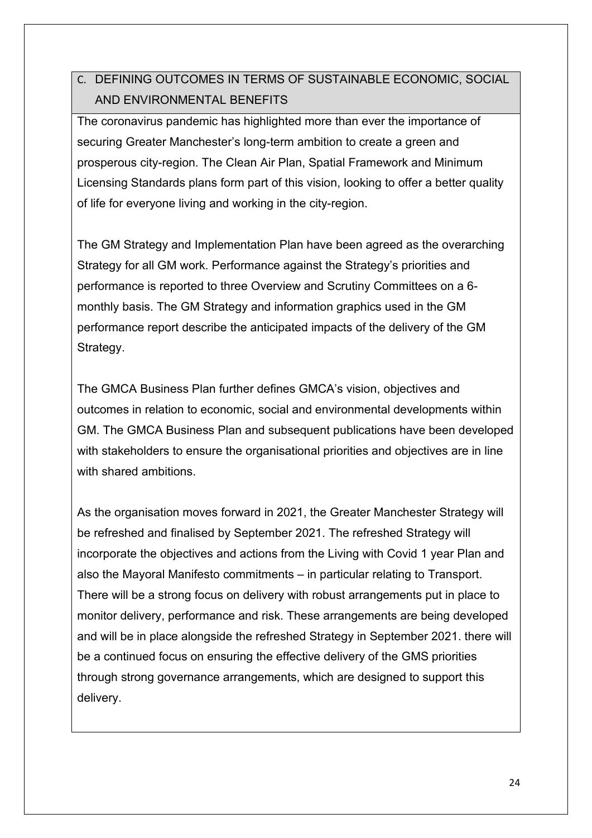## C. DEFINING OUTCOMES IN TERMS OF SUSTAINABLE ECONOMIC, SOCIAL AND ENVIRONMENTAL BENEFITS

The coronavirus pandemic has highlighted more than ever the importance of securing Greater Manchester's long-term ambition to create a green and prosperous city-region. The Clean Air Plan, Spatial Framework and Minimum Licensing Standards plans form part of this vision, looking to offer a better quality of life for everyone living and working in the city-region.

The GM Strategy and Implementation Plan have been agreed as the overarching Strategy for all GM work. Performance against the Strategy's priorities and performance is reported to three Overview and Scrutiny Committees on a 6 monthly basis. The GM Strategy and information graphics used in the GM performance report describe the anticipated impacts of the delivery of the GM Strategy.

The GMCA Business Plan further defines GMCA's vision, objectives and outcomes in relation to economic, social and environmental developments within GM. The GMCA Business Plan and subsequent publications have been developed with stakeholders to ensure the organisational priorities and objectives are in line with shared ambitions.

As the organisation moves forward in 2021, the Greater Manchester Strategy will be refreshed and finalised by September 2021. The refreshed Strategy will incorporate the objectives and actions from the Living with Covid 1 year Plan and also the Mayoral Manifesto commitments – in particular relating to Transport. There will be a strong focus on delivery with robust arrangements put in place to monitor delivery, performance and risk. These arrangements are being developed and will be in place alongside the refreshed Strategy in September 2021. there will be a continued focus on ensuring the effective delivery of the GMS priorities through strong governance arrangements, which are designed to support this delivery.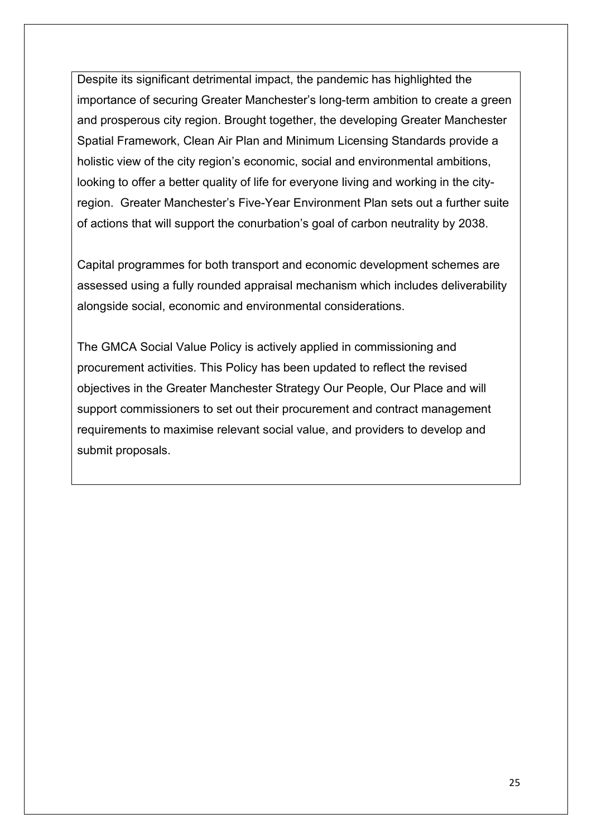Despite its significant detrimental impact, the pandemic has highlighted the importance of securing Greater Manchester's long-term ambition to create a green and prosperous city region. Brought together, the developing Greater Manchester Spatial Framework, Clean Air Plan and Minimum Licensing Standards provide a holistic view of the city region's economic, social and environmental ambitions, looking to offer a better quality of life for everyone living and working in the cityregion. Greater Manchester's Five-Year Environment Plan sets out a further suite of actions that will support the conurbation's goal of carbon neutrality by 2038.

Capital programmes for both transport and economic development schemes are assessed using a fully rounded appraisal mechanism which includes deliverability alongside social, economic and environmental considerations.

The GMCA Social Value Policy is actively applied in commissioning and procurement activities. This Policy has been updated to reflect the revised objectives in the Greater Manchester Strategy Our People, Our Place and will support commissioners to set out their procurement and contract management requirements to maximise relevant social value, and providers to develop and submit proposals.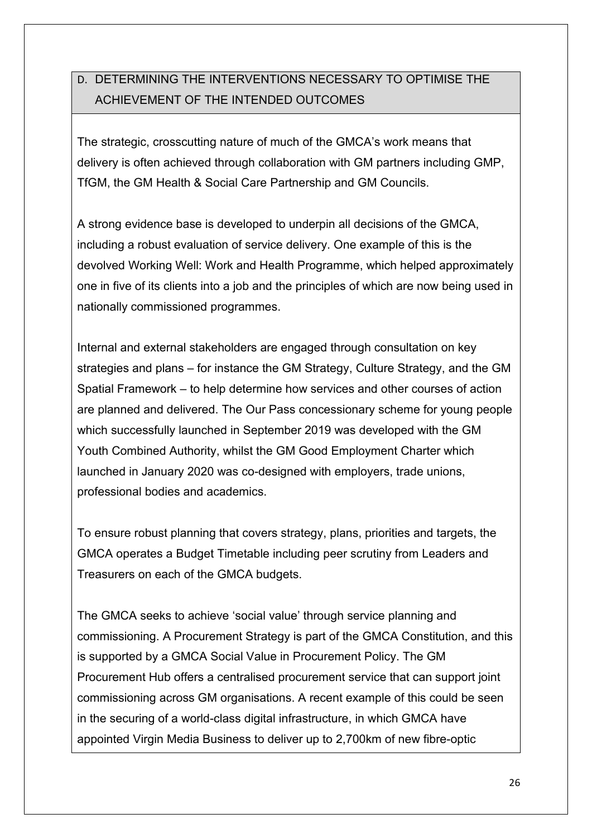# D. DETERMINING THE INTERVENTIONS NECESSARY TO OPTIMISE THE ACHIEVEMENT OF THE INTENDED OUTCOMES

The strategic, crosscutting nature of much of the GMCA's work means that delivery is often achieved through collaboration with GM partners including GMP, TfGM, the GM Health & Social Care Partnership and GM Councils.

A strong evidence base is developed to underpin all decisions of the GMCA, including a robust evaluation of service delivery. One example of this is the devolved Working Well: Work and Health Programme, which helped approximately one in five of its clients into a job and the principles of which are now being used in nationally commissioned programmes.

Internal and external stakeholders are engaged through consultation on key strategies and plans – for instance the GM Strategy, Culture Strategy, and the GM Spatial Framework – to help determine how services and other courses of action are planned and delivered. The Our Pass concessionary scheme for young people which successfully launched in September 2019 was developed with the GM Youth Combined Authority, whilst the GM Good Employment Charter which launched in January 2020 was co-designed with employers, trade unions, professional bodies and academics.

To ensure robust planning that covers strategy, plans, priorities and targets, the GMCA operates a Budget Timetable including peer scrutiny from Leaders and Treasurers on each of the GMCA budgets.

The GMCA seeks to achieve 'social value' through service planning and commissioning. A Procurement Strategy is part of the GMCA Constitution, and this is supported by a GMCA Social Value in Procurement Policy. The GM Procurement Hub offers a centralised procurement service that can support joint commissioning across GM organisations. A recent example of this could be seen in the securing of a world-class digital infrastructure, in which GMCA have appointed Virgin Media Business to deliver up to 2,700km of new fibre-optic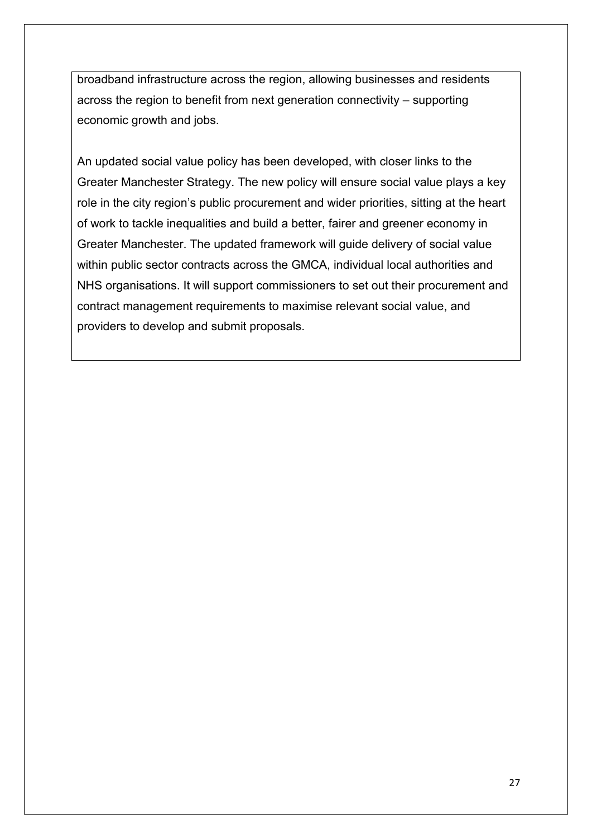broadband infrastructure across the region, allowing businesses and residents across the region to benefit from next generation connectivity – supporting economic growth and jobs.

An updated social value policy has been developed, with closer links to the Greater Manchester Strategy. The new policy will ensure social value plays a key role in the city region's public procurement and wider priorities, sitting at the heart of work to tackle inequalities and build a better, fairer and greener economy in Greater Manchester. The updated framework will guide delivery of social value within public sector contracts across the GMCA, individual local authorities and NHS organisations. It will support commissioners to set out their procurement and contract management requirements to maximise relevant social value, and providers to develop and submit proposals.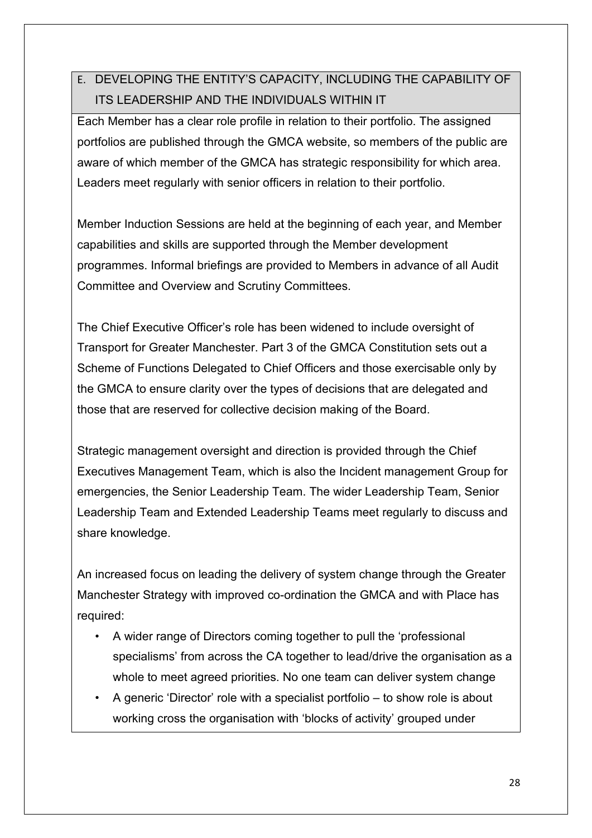# E. DEVELOPING THE ENTITY'S CAPACITY, INCLUDING THE CAPABILITY OF ITS LEADERSHIP AND THE INDIVIDUALS WITHIN IT

Each Member has a clear role profile in relation to their portfolio. The assigned portfolios are published through the GMCA website, so members of the public are aware of which member of the GMCA has strategic responsibility for which area. Leaders meet regularly with senior officers in relation to their portfolio.

Member Induction Sessions are held at the beginning of each year, and Member capabilities and skills are supported through the Member development programmes. Informal briefings are provided to Members in advance of all Audit Committee and Overview and Scrutiny Committees.

The Chief Executive Officer's role has been widened to include oversight of Transport for Greater Manchester. Part 3 of the GMCA Constitution sets out a Scheme of Functions Delegated to Chief Officers and those exercisable only by the GMCA to ensure clarity over the types of decisions that are delegated and those that are reserved for collective decision making of the Board.

Strategic management oversight and direction is provided through the Chief Executives Management Team, which is also the Incident management Group for emergencies, the Senior Leadership Team. The wider Leadership Team, Senior Leadership Team and Extended Leadership Teams meet regularly to discuss and share knowledge.

An increased focus on leading the delivery of system change through the Greater Manchester Strategy with improved co-ordination the GMCA and with Place has required:

- A wider range of Directors coming together to pull the 'professional specialisms' from across the CA together to lead/drive the organisation as a whole to meet agreed priorities. No one team can deliver system change
- A generic 'Director' role with a specialist portfolio to show role is about working cross the organisation with 'blocks of activity' grouped under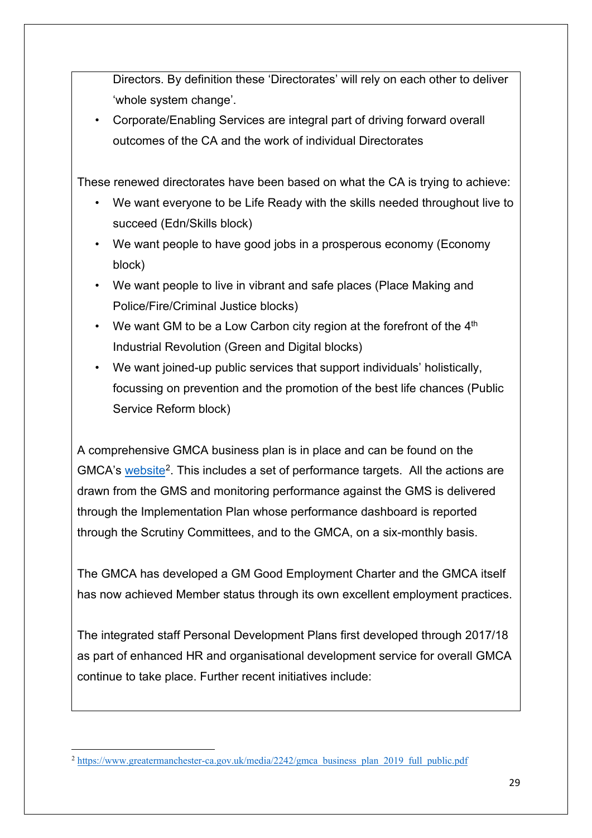Directors. By definition these 'Directorates' will rely on each other to deliver 'whole system change'.

• Corporate/Enabling Services are integral part of driving forward overall outcomes of the CA and the work of individual Directorates

These renewed directorates have been based on what the CA is trying to achieve:

- We want everyone to be Life Ready with the skills needed throughout live to succeed (Edn/Skills block)
- We want people to have good jobs in a prosperous economy (Economy block)
- We want people to live in vibrant and safe places (Place Making and Police/Fire/Criminal Justice blocks)
- We want GM to be a Low Carbon city region at the forefront of the  $4<sup>th</sup>$ Industrial Revolution (Green and Digital blocks)
- We want joined-up public services that support individuals' holistically, focussing on prevention and the promotion of the best life chances (Public Service Reform block)

A comprehensive GMCA business plan is in place and can be found on the GMCA's [website](https://www.greatermanchester-ca.gov.uk/media/2242/gmca_business_plan_2019_full_public.pdf)<sup>[2](#page-28-0)</sup>. This includes a set of performance targets. All the actions are drawn from the GMS and monitoring performance against the GMS is delivered through the Implementation Plan whose performance dashboard is reported through the Scrutiny Committees, and to the GMCA, on a six-monthly basis.

The GMCA has developed a GM Good Employment Charter and the GMCA itself has now achieved Member status through its own excellent employment practices.

The integrated staff Personal Development Plans first developed through 2017/18 as part of enhanced HR and organisational development service for overall GMCA continue to take place. Further recent initiatives include:

<span id="page-28-0"></span><sup>&</sup>lt;sup>2</sup> [https://www.greatermanchester-ca.gov.uk/media/2242/gmca\\_business\\_plan\\_2019\\_full\\_public.pdf](https://www.greatermanchester-ca.gov.uk/media/2242/gmca_business_plan_2019_full_public.pdf)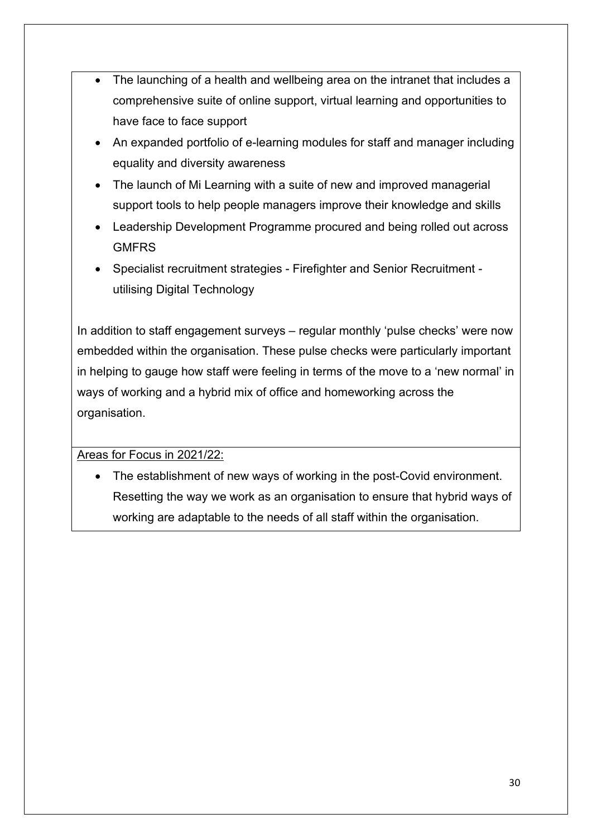- The launching of a health and wellbeing area on the intranet that includes a comprehensive suite of online support, virtual learning and opportunities to have face to face support
- An expanded portfolio of e-learning modules for staff and manager including equality and diversity awareness
- The launch of Mi Learning with a suite of new and improved managerial support tools to help people managers improve their knowledge and skills
- Leadership Development Programme procured and being rolled out across **GMFRS**
- Specialist recruitment strategies Firefighter and Senior Recruitment utilising Digital Technology

In addition to staff engagement surveys – regular monthly 'pulse checks' were now embedded within the organisation. These pulse checks were particularly important in helping to gauge how staff were feeling in terms of the move to a 'new normal' in ways of working and a hybrid mix of office and homeworking across the organisation.

### Areas for Focus in 2021/22:

• The establishment of new ways of working in the post-Covid environment. Resetting the way we work as an organisation to ensure that hybrid ways of working are adaptable to the needs of all staff within the organisation.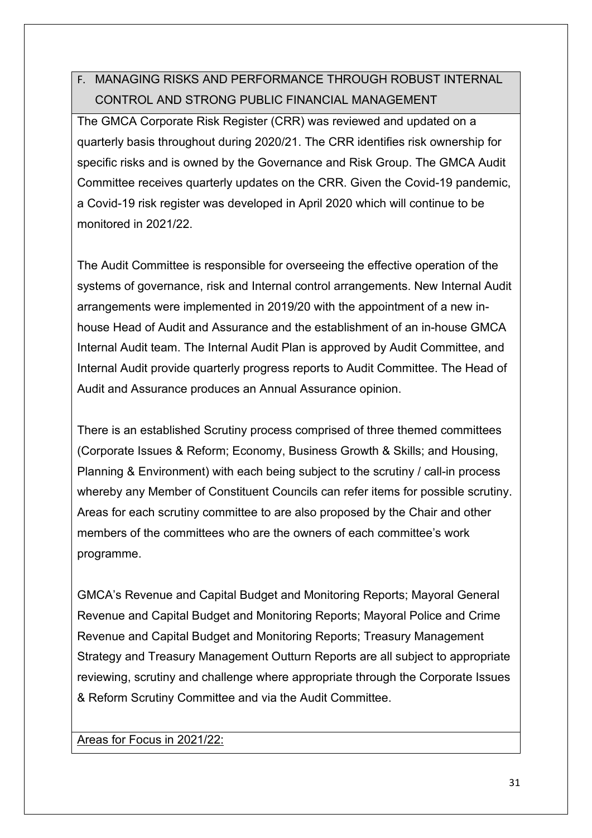## F. MANAGING RISKS AND PERFORMANCE THROUGH ROBUST INTERNAL CONTROL AND STRONG PUBLIC FINANCIAL MANAGEMENT

The GMCA Corporate Risk Register (CRR) was reviewed and updated on a quarterly basis throughout during 2020/21. The CRR identifies risk ownership for specific risks and is owned by the Governance and Risk Group. The GMCA Audit Committee receives quarterly updates on the CRR. Given the Covid-19 pandemic, a Covid-19 risk register was developed in April 2020 which will continue to be monitored in 2021/22.

The Audit Committee is responsible for overseeing the effective operation of the systems of governance, risk and Internal control arrangements. New Internal Audit arrangements were implemented in 2019/20 with the appointment of a new inhouse Head of Audit and Assurance and the establishment of an in-house GMCA Internal Audit team. The Internal Audit Plan is approved by Audit Committee, and Internal Audit provide quarterly progress reports to Audit Committee. The Head of Audit and Assurance produces an Annual Assurance opinion.

There is an established Scrutiny process comprised of three themed committees (Corporate Issues & Reform; Economy, Business Growth & Skills; and Housing, Planning & Environment) with each being subject to the scrutiny / call-in process whereby any Member of Constituent Councils can refer items for possible scrutiny. Areas for each scrutiny committee to are also proposed by the Chair and other members of the committees who are the owners of each committee's work programme.

GMCA's Revenue and Capital Budget and Monitoring Reports; Mayoral General Revenue and Capital Budget and Monitoring Reports; Mayoral Police and Crime Revenue and Capital Budget and Monitoring Reports; Treasury Management Strategy and Treasury Management Outturn Reports are all subject to appropriate reviewing, scrutiny and challenge where appropriate through the Corporate Issues & Reform Scrutiny Committee and via the Audit Committee.

Areas for Focus in 2021/22: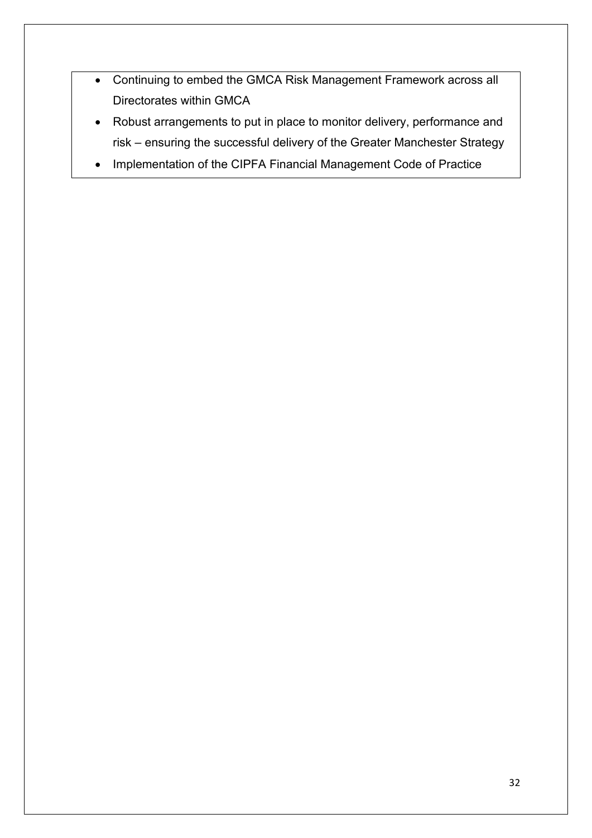- Continuing to embed the GMCA Risk Management Framework across all Directorates within GMCA
- Robust arrangements to put in place to monitor delivery, performance and risk – ensuring the successful delivery of the Greater Manchester Strategy
- Implementation of the CIPFA Financial Management Code of Practice